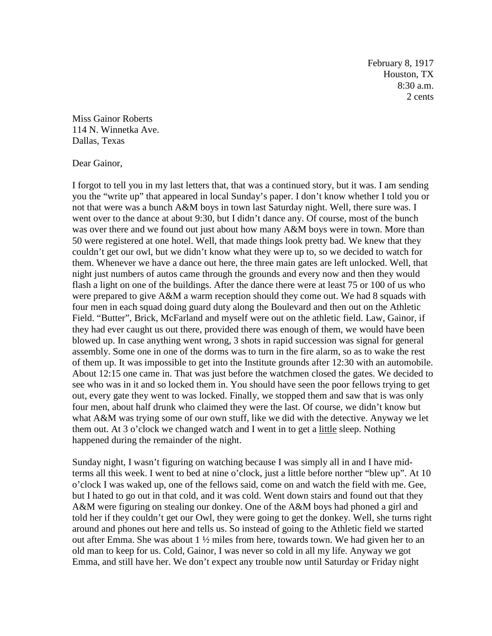February 8, 1917 Houston, TX 8:30 a.m. 2 cents

Miss Gainor Roberts 114 N. Winnetka Ave. Dallas, Texas

Dear Gainor,

I forgot to tell you in my last letters that, that was a continued story, but it was. I am sending you the "write up" that appeared in local Sunday's paper. I don't know whether I told you or not that were was a bunch A&M boys in town last Saturday night. Well, there sure was. I went over to the dance at about 9:30, but I didn't dance any. Of course, most of the bunch was over there and we found out just about how many A&M boys were in town. More than 50 were registered at one hotel. Well, that made things look pretty bad. We knew that they couldn't get our owl, but we didn't know what they were up to, so we decided to watch for them. Whenever we have a dance out here, the three main gates are left unlocked. Well, that night just numbers of autos came through the grounds and every now and then they would flash a light on one of the buildings. After the dance there were at least 75 or 100 of us who were prepared to give A&M a warm reception should they come out. We had 8 squads with four men in each squad doing guard duty along the Boulevard and then out on the Athletic Field. "Butter", Brick, McFarland and myself were out on the athletic field. Law, Gainor, if they had ever caught us out there, provided there was enough of them, we would have been blowed up. In case anything went wrong, 3 shots in rapid succession was signal for general assembly. Some one in one of the dorms was to turn in the fire alarm, so as to wake the rest of them up. It was impossible to get into the Institute grounds after 12:30 with an automobile. About 12:15 one came in. That was just before the watchmen closed the gates. We decided to see who was in it and so locked them in. You should have seen the poor fellows trying to get out, every gate they went to was locked. Finally, we stopped them and saw that is was only four men, about half drunk who claimed they were the last. Of course, we didn't know but what A&M was trying some of our own stuff, like we did with the detective. Anyway we let them out. At 3 o'clock we changed watch and I went in to get a little sleep. Nothing happened during the remainder of the night.

Sunday night, I wasn't figuring on watching because I was simply all in and I have midterms all this week. I went to bed at nine o'clock, just a little before norther "blew up". At 10 o'clock I was waked up, one of the fellows said, come on and watch the field with me. Gee, but I hated to go out in that cold, and it was cold. Went down stairs and found out that they A&M were figuring on stealing our donkey. One of the A&M boys had phoned a girl and told her if they couldn't get our Owl, they were going to get the donkey. Well, she turns right around and phones out here and tells us. So instead of going to the Athletic field we started out after Emma. She was about  $1 \frac{1}{2}$  miles from here, towards town. We had given her to an old man to keep for us. Cold, Gainor, I was never so cold in all my life. Anyway we got Emma, and still have her. We don't expect any trouble now until Saturday or Friday night